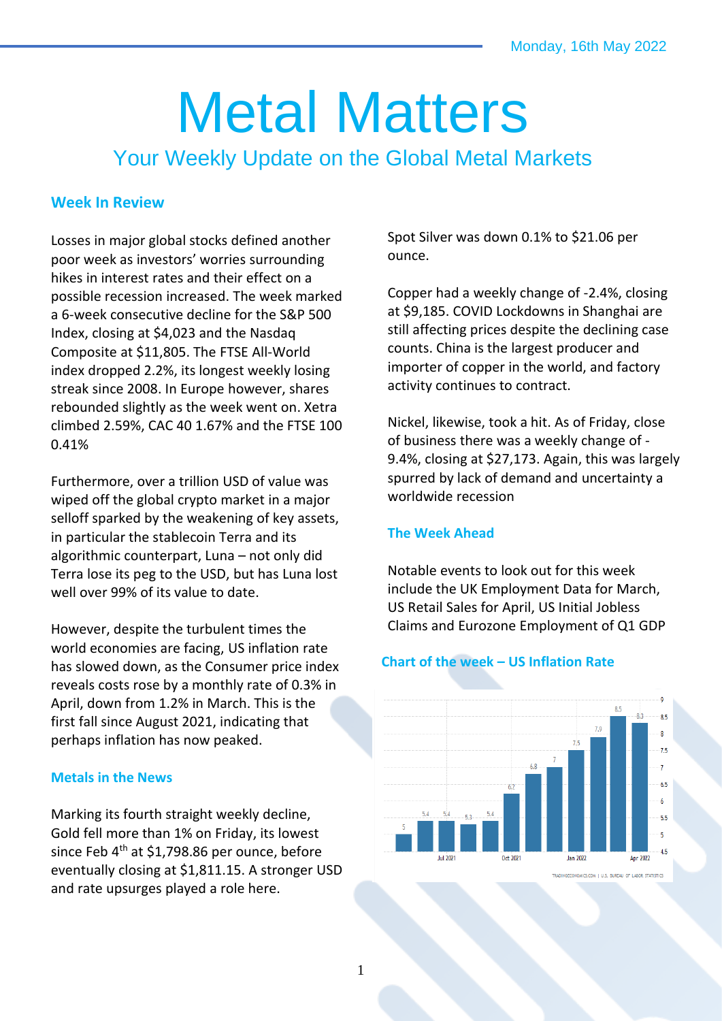# Metal Matters

Your Weekly Update on the Global Metal Markets

## **Week In Review**

Losses in major global stocks defined another poor week as investors' worries surrounding hikes in interest rates and their effect on a possible recession increased. The week marked a 6-week consecutive decline for the S&P 500 Index, closing at \$4,023 and the Nasdaq Composite at \$11,805. The FTSE All-World index dropped 2.2%, its longest weekly losing streak since 2008. In Europe however, shares rebounded slightly as the week went on. Xetra climbed 2.59%, CAC 40 1.67% and the FTSE 100 0.41%

Furthermore, over a trillion USD of value was wiped off the global crypto market in a major selloff sparked by the weakening of key assets, in particular the stablecoin Terra and its algorithmic counterpart, Luna – not only did Terra lose its peg to the USD, but has Luna lost well over 99% of its value to date.

However, despite the turbulent times the world economies are facing, US inflation rate has slowed down, as the Consumer price index reveals costs rose by a monthly rate of 0.3% in April, down from 1.2% in March. This is the first fall since August 2021, indicating that perhaps inflation has now peaked.

## **Metals in the News**

Marking its fourth straight weekly decline, Gold fell more than 1% on Friday, its lowest since Feb 4<sup>th</sup> at \$1,798.86 per ounce, before eventually closing at \$1,811.15. A stronger USD and rate upsurges played a role here.

Spot Silver was down 0.1% to \$21.06 per ounce.

Copper had a weekly change of -2.4%, closing at \$9,185. COVID Lockdowns in Shanghai are still affecting prices despite the declining case counts. China is the largest producer and importer of copper in the world, and factory activity continues to contract.

Nickel, likewise, took a hit. As of Friday, close of business there was a weekly change of - 9.4%, closing at \$27,173. Again, this was largely spurred by lack of demand and uncertainty a worldwide recession

### **The Week Ahead**

Notable events to look out for this week include the UK Employment Data for March, US Retail Sales for April, US Initial Jobless Claims and Eurozone Employment of Q1 GDP

## **Chart of the week – US Inflation Rate**